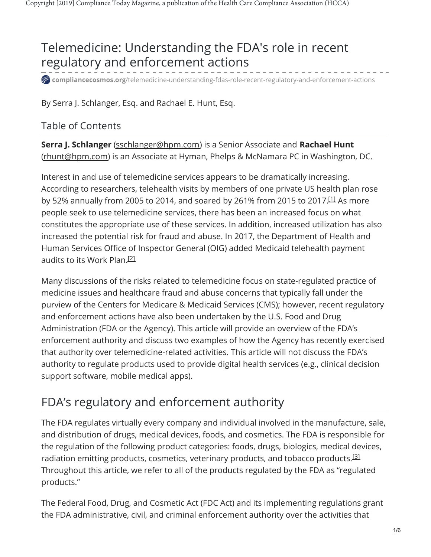## Telemedicine: Understanding the FDA's role in recent regulatory and enforcement actions

**compliancecosmos.org**[/telemedicine-understanding-fdas-role-recent-regulatory-and-enforcement-actions](https://compliancecosmos.org/telemedicine-understanding-fdas-role-recent-regulatory-and-enforcement-actions?authkey=410f81ecc4545f0d3d381cf44ac4529e69301e2ed123864ba2e129e2c38feec7)

By Serra J. Schlanger, Esq. and Rachael E. Hunt, Esq.

#### Table of Contents

**Serra J. Schlanger** [\(sschlanger@hpm.com\)](mailto:sschlanger@hpm.com) is a Senior Associate and **Rachael Hunt** [\(rhunt@hpm.com](mailto:rhunt@hpm.com)) is an Associate at Hyman, Phelps & McNamara PC in Washington, DC.

<span id="page-0-0"></span>Interest in and use of telemedicine services appears to be dramatically increasing. According to researchers, telehealth visits by members of one private US health plan rose by 52% annually from 2005 to 2014, and soared by 261% from 2015 to 2017. $^{[11]}$  As more people seek to use telemedicine services, there has been an increased focus on what constitutes the appropriate use of these services. In addition, increased utilization has also increased the potential risk for fraud and abuse. In 2017, the Department of Health and Human Services Office of Inspector General (OIG) added Medicaid telehealth payment audits to its Work Plan. [2]

<span id="page-0-1"></span>Many discussions of the risks related to telemedicine focus on state-regulated practice of medicine issues and healthcare fraud and abuse concerns that typically fall under the purview of the Centers for Medicare & Medicaid Services (CMS); however, recent regulatory and enforcement actions have also been undertaken by the U.S. Food and Drug Administration (FDA or the Agency). This article will provide an overview of the FDA's enforcement authority and discuss two examples of how the Agency has recently exercised that authority over telemedicine-related activities. This article will not discuss the FDA's authority to regulate products used to provide digital health services (e.g., clinical decision support software, mobile medical apps).

### FDA's regulatory and enforcement authority

<span id="page-0-2"></span>The FDA regulates virtually every company and individual involved in the manufacture, sale, and distribution of drugs, medical devices, foods, and cosmetics. The FDA is responsible for the regulation of the following product categories: foods, drugs, biologics, medical devices, radiation emitting products, cosmetics, veterinary products, and tobacco products.<sup>[3]</sup> Throughout this article, we refer to all of the products regulated by the FDA as "regulated products."

The Federal Food, Drug, and Cosmetic Act (FDC Act) and its implementing regulations grant the FDA administrative, civil, and criminal enforcement authority over the activities that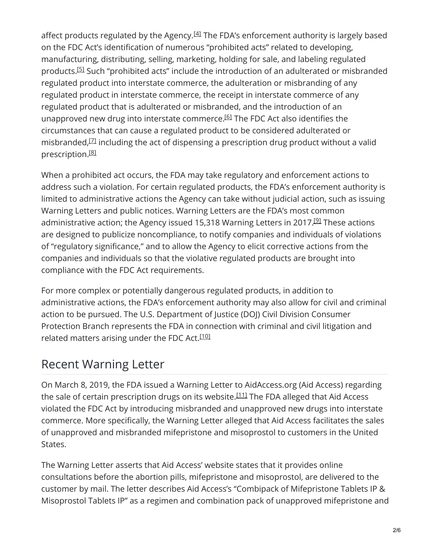<span id="page-1-1"></span><span id="page-1-0"></span>affect products regulated by the Agency. $^{[4]}$  The FDA's enforcement authority is largely based on the FDC Act's identification of numerous "prohibited acts" related to developing, manufacturing, distributing, selling, marketing, holding for sale, and labeling regulated products.<sup>[5]</sup> Such "prohibited acts" include the introduction of an adulterated or misbranded regulated product into interstate commerce, the adulteration or misbranding of any regulated product in interstate commerce, the receipt in interstate commerce of any regulated product that is adulterated or misbranded, and the introduction of an unapproved new drug into interstate commerce.<sup>[6]</sup> The FDC Act also identifies the circumstances that can cause a regulated product to be considered adulterated or misbranded, $^{[7]}$  including the act of dispensing a prescription drug product without a valid prescription. [8]

<span id="page-1-5"></span><span id="page-1-4"></span><span id="page-1-3"></span><span id="page-1-2"></span>When a prohibited act occurs, the FDA may take regulatory and enforcement actions to address such a violation. For certain regulated products, the FDA's enforcement authority is limited to administrative actions the Agency can take without judicial action, such as issuing Warning Letters and public notices. Warning Letters are the FDA's most common administrative action; the Agency issued 15,318 Warning Letters in 2017.<sup>[9]</sup> These actions are designed to publicize noncompliance, to notify companies and individuals of violations of "regulatory significance," and to allow the Agency to elicit corrective actions from the companies and individuals so that the violative regulated products are brought into compliance with the FDC Act requirements.

For more complex or potentially dangerous regulated products, in addition to administrative actions, the FDA's enforcement authority may also allow for civil and criminal action to be pursued. The U.S. Department of Justice (DOJ) Civil Division Consumer Protection Branch represents the FDA in connection with criminal and civil litigation and related matters arising under the FDC Act.<sup>[10]</sup>

### <span id="page-1-6"></span>Recent Warning Letter

<span id="page-1-7"></span>On March 8, 2019, the FDA issued a Warning Letter to AidAccess.org (Aid Access) regarding the sale of certain prescription drugs on its website. $^{[111]}$  The FDA alleged that Aid Access violated the FDC Act by introducing misbranded and unapproved new drugs into interstate commerce. More specifically, the Warning Letter alleged that Aid Access facilitates the sales of unapproved and misbranded mifepristone and misoprostol to customers in the United States.

The Warning Letter asserts that Aid Access' website states that it provides online consultations before the abortion pills, mifepristone and misoprostol, are delivered to the customer by mail. The letter describes Aid Access's "Combipack of Mifepristone Tablets IP & Misoprostol Tablets IP" as a regimen and combination pack of unapproved mifepristone and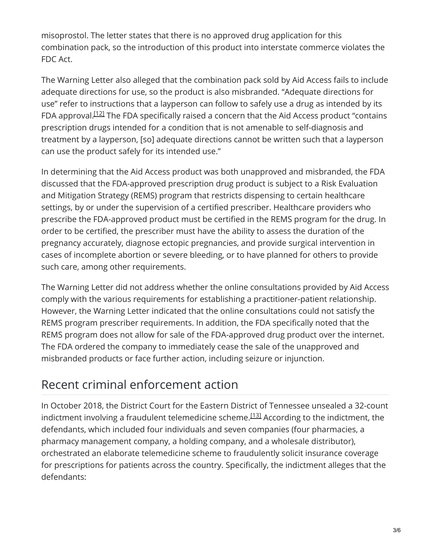misoprostol. The letter states that there is no approved drug application for this combination pack, so the introduction of this product into interstate commerce violates the FDC Act.

<span id="page-2-0"></span>The Warning Letter also alleged that the combination pack sold by Aid Access fails to include adequate directions for use, so the product is also misbranded. "Adequate directions for use" refer to instructions that a layperson can follow to safely use a drug as intended by its FDA approval.<sup>[12]</sup> The FDA specifically raised a concern that the Aid Access product "contains prescription drugs intended for a condition that is not amenable to self-diagnosis and treatment by a layperson, [so] adequate directions cannot be written such that a layperson can use the product safely for its intended use."

In determining that the Aid Access product was both unapproved and misbranded, the FDA discussed that the FDA-approved prescription drug product is subject to a Risk Evaluation and Mitigation Strategy (REMS) program that restricts dispensing to certain healthcare settings, by or under the supervision of a certified prescriber. Healthcare providers who prescribe the FDA-approved product must be certified in the REMS program for the drug. In order to be certified, the prescriber must have the ability to assess the duration of the pregnancy accurately, diagnose ectopic pregnancies, and provide surgical intervention in cases of incomplete abortion or severe bleeding, or to have planned for others to provide such care, among other requirements.

The Warning Letter did not address whether the online consultations provided by Aid Access comply with the various requirements for establishing a practitioner-patient relationship. However, the Warning Letter indicated that the online consultations could not satisfy the REMS program prescriber requirements. In addition, the FDA specifically noted that the REMS program does not allow for sale of the FDA-approved drug product over the internet. The FDA ordered the company to immediately cease the sale of the unapproved and misbranded products or face further action, including seizure or injunction.

### Recent criminal enforcement action

<span id="page-2-1"></span>In October 2018, the District Court for the Eastern District of Tennessee unsealed a 32-count indictment involving a fraudulent telemedicine scheme. $^{[13]}$  According to the indictment, the defendants, which included four individuals and seven companies (four pharmacies, a pharmacy management company, a holding company, and a wholesale distributor), orchestrated an elaborate telemedicine scheme to fraudulently solicit insurance coverage for prescriptions for patients across the country. Specifically, the indictment alleges that the defendants: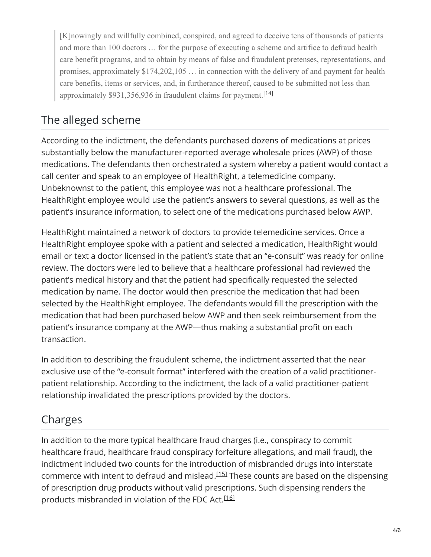<span id="page-3-0"></span>[K]nowingly and willfully combined, conspired, and agreed to deceive tens of thousands of patients and more than 100 doctors … for the purpose of executing a scheme and artifice to defraud health care benefit programs, and to obtain by means of false and fraudulent pretenses, representations, and promises, approximately \$174,202,105 … in connection with the delivery of and payment for health care benefits, items or services, and, in furtherance thereof, caused to be submitted not less than approximately \$931,356,936 in fraudulent claims for payment.<sup>[14]</sup>

## The alleged scheme

According to the indictment, the defendants purchased dozens of medications at prices substantially below the manufacturer-reported average wholesale prices (AWP) of those medications. The defendants then orchestrated a system whereby a patient would contact a call center and speak to an employee of HealthRight, a telemedicine company. Unbeknownst to the patient, this employee was not a healthcare professional. The HealthRight employee would use the patient's answers to several questions, as well as the patient's insurance information, to select one of the medications purchased below AWP.

HealthRight maintained a network of doctors to provide telemedicine services. Once a HealthRight employee spoke with a patient and selected a medication, HealthRight would email or text a doctor licensed in the patient's state that an "e-consult" was ready for online review. The doctors were led to believe that a healthcare professional had reviewed the patient's medical history and that the patient had specifically requested the selected medication by name. The doctor would then prescribe the medication that had been selected by the HealthRight employee. The defendants would fill the prescription with the medication that had been purchased below AWP and then seek reimbursement from the patient's insurance company at the AWP—thus making a substantial profit on each transaction.

In addition to describing the fraudulent scheme, the indictment asserted that the near exclusive use of the "e-consult format" interfered with the creation of a valid practitionerpatient relationship. According to the indictment, the lack of a valid practitioner-patient relationship invalidated the prescriptions provided by the doctors.

#### Charges

<span id="page-3-2"></span><span id="page-3-1"></span>In addition to the more typical healthcare fraud charges (i.e., conspiracy to commit healthcare fraud, healthcare fraud conspiracy forfeiture allegations, and mail fraud), the indictment included two counts for the introduction of misbranded drugs into interstate commerce with intent to defraud and mislead.<sup>[15]</sup> These counts are based on the dispensing of prescription drug products without valid prescriptions. Such dispensing renders the products misbranded in violation of the FDC Act.<sup>[16]</sup>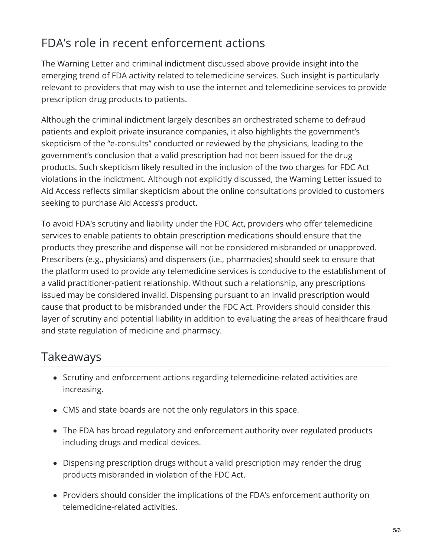# FDA's role in recent enforcement actions

The Warning Letter and criminal indictment discussed above provide insight into the emerging trend of FDA activity related to telemedicine services. Such insight is particularly relevant to providers that may wish to use the internet and telemedicine services to provide prescription drug products to patients.

Although the criminal indictment largely describes an orchestrated scheme to defraud patients and exploit private insurance companies, it also highlights the government's skepticism of the "e-consults" conducted or reviewed by the physicians, leading to the government's conclusion that a valid prescription had not been issued for the drug products. Such skepticism likely resulted in the inclusion of the two charges for FDC Act violations in the indictment. Although not explicitly discussed, the Warning Letter issued to Aid Access reflects similar skepticism about the online consultations provided to customers seeking to purchase Aid Access's product.

To avoid FDA's scrutiny and liability under the FDC Act, providers who offer telemedicine services to enable patients to obtain prescription medications should ensure that the products they prescribe and dispense will not be considered misbranded or unapproved. Prescribers (e.g., physicians) and dispensers (i.e., pharmacies) should seek to ensure that the platform used to provide any telemedicine services is conducive to the establishment of a valid practitioner-patient relationship. Without such a relationship, any prescriptions issued may be considered invalid. Dispensing pursuant to an invalid prescription would cause that product to be misbranded under the FDC Act. Providers should consider this layer of scrutiny and potential liability in addition to evaluating the areas of healthcare fraud and state regulation of medicine and pharmacy.

### Takeaways

- Scrutiny and enforcement actions regarding telemedicine-related activities are increasing.
- CMS and state boards are not the only regulators in this space.
- The FDA has broad regulatory and enforcement authority over regulated products including drugs and medical devices.
- Dispensing prescription drugs without a valid prescription may render the drug products misbranded in violation of the FDC Act.
- Providers should consider the implications of the FDA's enforcement authority on telemedicine-related activities.